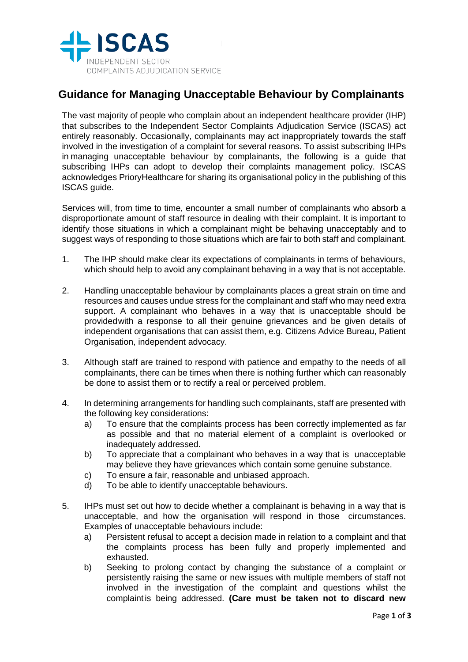

## **Guidance for Managing Unacceptable Behaviour by Complainants**

The vast majority of people who complain about an independent healthcare provider (IHP) that subscribes to the Independent Sector Complaints Adjudication Service (ISCAS) act entirely reasonably. Occasionally, complainants may act inappropriately towards the staff involved in the investigation of a complaint for several reasons. To assist subscribing IHPs in managing unacceptable behaviour by complainants, the following is a guide that subscribing IHPs can adopt to develop their complaints management policy. ISCAS acknowledges PrioryHealthcare for sharing its organisational policy in the publishing of this ISCAS guide.

Services will, from time to time, encounter a small number of complainants who absorb a disproportionate amount of staff resource in dealing with their complaint. It is important to identify those situations in which a complainant might be behaving unacceptably and to suggest ways of responding to those situations which are fair to both staff and complainant.

- 1. The IHP should make clear its expectations of complainants in terms of behaviours, which should help to avoid any complainant behaving in a way that is not acceptable.
- 2. Handling unacceptable behaviour by complainants places a great strain on time and resources and causes undue stress for the complainant and staff who may need extra support. A complainant who behaves in a way that is unacceptable should be providedwith a response to all their genuine grievances and be given details of independent organisations that can assist them, e.g. Citizens Advice Bureau, Patient Organisation, independent advocacy.
- 3. Although staff are trained to respond with patience and empathy to the needs of all complainants, there can be times when there is nothing further which can reasonably be done to assist them or to rectify a real or perceived problem.
- 4. In determining arrangements for handling such complainants, staff are presented with the following key considerations:
	- a) To ensure that the complaints process has been correctly implemented as far as possible and that no material element of a complaint is overlooked or inadequately addressed.
	- b) To appreciate that a complainant who behaves in a way that is unacceptable may believe they have grievances which contain some genuine substance.
	- c) To ensure a fair, reasonable and unbiased approach.
	- d) To be able to identify unacceptable behaviours.
- 5. IHPs must set out how to decide whether a complainant is behaving in a way that is unacceptable, and how the organisation will respond in those circumstances. Examples of unacceptable behaviours include:
	- a) Persistent refusal to accept a decision made in relation to a complaint and that the complaints process has been fully and properly implemented and exhausted.
	- b) Seeking to prolong contact by changing the substance of a complaint or persistently raising the same or new issues with multiple members of staff not involved in the investigation of the complaint and questions whilst the complaint is being addressed. **(Care must be taken not to discard new**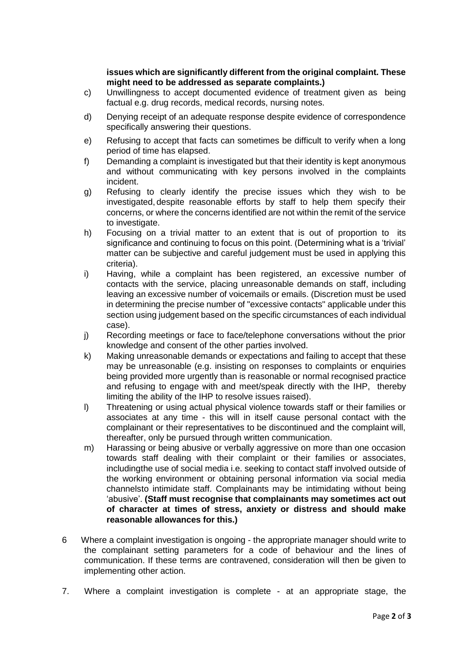**issues which are significantly different from the original complaint. These might need to be addressed as separate complaints.)**

- c) Unwillingness to accept documented evidence of treatment given as being factual e.g. drug records, medical records, nursing notes.
- d) Denying receipt of an adequate response despite evidence of correspondence specifically answering their questions.
- e) Refusing to accept that facts can sometimes be difficult to verify when a long period of time has elapsed.
- f) Demanding a complaint is investigated but that their identity is kept anonymous and without communicating with key persons involved in the complaints incident.
- g) Refusing to clearly identify the precise issues which they wish to be investigated, despite reasonable efforts by staff to help them specify their concerns, or where the concerns identified are not within the remit of the service to investigate.
- h) Focusing on a trivial matter to an extent that is out of proportion to its significance and continuing to focus on this point. (Determining what is a 'trivial' matter can be subjective and careful judgement must be used in applying this criteria).
- i) Having, while a complaint has been registered, an excessive number of contacts with the service, placing unreasonable demands on staff, including leaving an excessive number of voicemails or emails. (Discretion must be used in determining the precise number of "excessive contacts" applicable under this section using judgement based on the specific circumstances of each individual case).
- j) Recording meetings or face to face/telephone conversations without the prior knowledge and consent of the other parties involved.
- k) Making unreasonable demands or expectations and failing to accept that these may be unreasonable (e.g. insisting on responses to complaints or enquiries being provided more urgently than is reasonable or normal recognised practice and refusing to engage with and meet/speak directly with the IHP, thereby limiting the ability of the IHP to resolve issues raised).
- l) Threatening or using actual physical violence towards staff or their families or associates at any time - this will in itself cause personal contact with the complainant or their representatives to be discontinued and the complaint will, thereafter, only be pursued through written communication.
- m) Harassing or being abusive or verbally aggressive on more than one occasion towards staff dealing with their complaint or their families or associates, includingthe use of social media i.e. seeking to contact staff involved outside of the working environment or obtaining personal information via social media channelsto intimidate staff. Complainants may be intimidating without being 'abusive'. **(Staff must recognise that complainants may sometimes act out of character at times of stress, anxiety or distress and should make reasonable allowances for this.)**
- 6 Where a complaint investigation is ongoing the appropriate manager should write to the complainant setting parameters for a code of behaviour and the lines of communication. If these terms are contravened, consideration will then be given to implementing other action.
- 7. Where a complaint investigation is complete at an appropriate stage, the